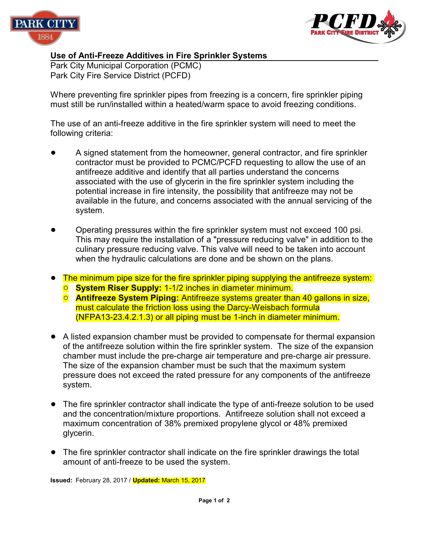



## **Use of Anti-Freeze Additives in Fire Sprinkler Systems**

Park City Municipal Corporation (PCMC) Park City Fire Service District (PCFD)

Where preventing fire sprinkler pipes from freezing is a concern, fire sprinkler piping must still be run/installed within a heated/warm space to avoid freezing conditions.

The use of an anti-freeze additive in the fire sprinkler system will need to meet the following criteria:

- ! A signed statement from the homeowner, general contractor, and fire sprinkler contractor must be provided to PCMC/PCFD requesting to allow the use of an antifreeze additive and identify that all parties understand the concerns associated with the use of glycerin in the fire sprinkler system including the potential increase in fire intensity, the possibility that antifreeze may not be available in the future, and concerns associated with the annual servicing of the system.
- ! Operating pressures within the fire sprinkler system must not exceed 100 psi. This may require the installation of a "pressure reducing valve" in addition to the culinary pressure reducing valve. This valve will need to be taken into account when the hydraulic calculations are done and be shown on the plans.
- The minimum pipe size for the fire sprinkler piping supplying the antifreeze system:
	- **<sup>O</sup>** System Riser Supply: 1-1/2 inches in diameter minimum.
	- **O** Antifreeze System Piping: Antifreeze systems greater than 40 gallons in size, must calculate the friction loss using the Darcy-Weisbach formula (NFPA13-23.4.2.1.3) or all piping must be 1-inch in diameter minimum.
- A listed expansion chamber must be provided to compensate for thermal expansion of the antifreeze solution within the fire sprinkler system. The size of the expansion chamber must include the pre-charge air temperature and pre-charge air pressure. The size of the expansion chamber must be such that the maximum system pressure does not exceed the rated pressure for any components of the antifreeze system.
- ! The fire sprinkler contractor shall indicate the type of anti-freeze solution to be used and the concentration/mixture proportions. Antifreeze solution shall not exceed a maximum concentration of 38% premixed propylene glycol or 48% premixed glycerin.
- The fire sprinkler contractor shall indicate on the fire sprinkler drawings the total amount of anti-freeze to be used the system.

**Issued:** February 28, 2017 / **Updated:** March 15, 2017